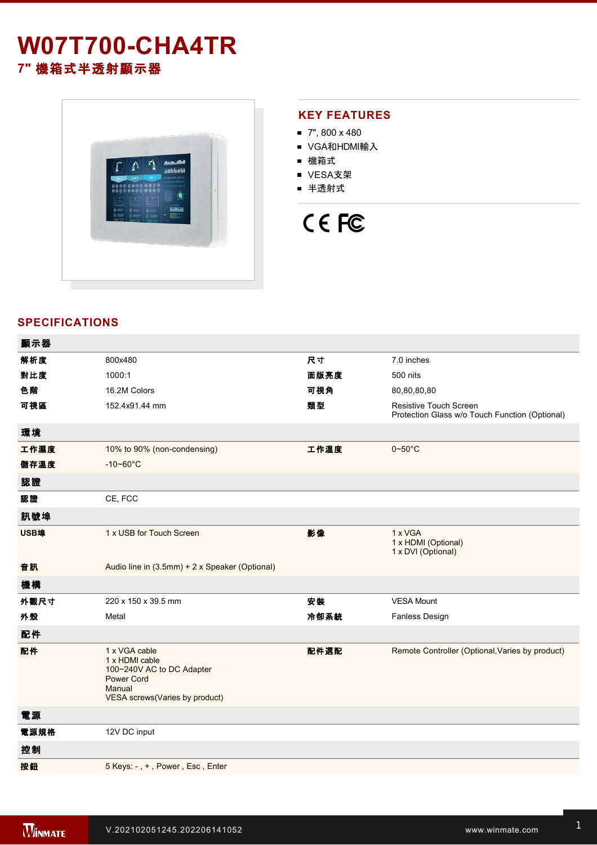# **W07T700-CHA4TR 7"** 機箱式半透射顯示器



### **KEY FEATURES**

- $\blacksquare$  7", 800 x 480
- VGA和HDMI輸入
- 機箱式
- VESA支架
- 半透射式

# CE FC

## **SPECIFICATIONS**

| 顯示器  |                                                                                                                               |      |                                                                                 |
|------|-------------------------------------------------------------------------------------------------------------------------------|------|---------------------------------------------------------------------------------|
| 解析度  | 800x480                                                                                                                       | 尺寸   | 7.0 inches                                                                      |
| 對比度  | 1000:1                                                                                                                        | 面版亮度 | 500 nits                                                                        |
| 色階   | 16.2M Colors                                                                                                                  | 可視角  | 80,80,80,80                                                                     |
| 可視區  | 152.4x91.44 mm                                                                                                                | 類型   | <b>Resistive Touch Screen</b><br>Protection Glass w/o Touch Function (Optional) |
| 環境   |                                                                                                                               |      |                                                                                 |
| 工作濕度 | 10% to 90% (non-condensing)                                                                                                   | 工作溫度 | $0\nightharpoonup 50^\circ C$                                                   |
| 儲存溫度 | $-10 - 60^{\circ}C$                                                                                                           |      |                                                                                 |
| 認證   |                                                                                                                               |      |                                                                                 |
| 認證   | CE, FCC                                                                                                                       |      |                                                                                 |
| 訊號埠  |                                                                                                                               |      |                                                                                 |
| USB埠 | 1 x USB for Touch Screen                                                                                                      | 影像   | 1 x VGA<br>1 x HDMI (Optional)<br>1 x DVI (Optional)                            |
| 音訊   | Audio line in (3.5mm) + 2 x Speaker (Optional)                                                                                |      |                                                                                 |
| 機構   |                                                                                                                               |      |                                                                                 |
| 外觀尺寸 | 220 x 150 x 39.5 mm                                                                                                           | 安装   | <b>VESA Mount</b>                                                               |
| 外殼   | Metal                                                                                                                         | 冷卻系統 | <b>Fanless Design</b>                                                           |
| 配件   |                                                                                                                               |      |                                                                                 |
| 配件   | 1 x VGA cable<br>1 x HDMI cable<br>100~240V AC to DC Adapter<br><b>Power Cord</b><br>Manual<br>VESA screws(Varies by product) | 配件選配 | Remote Controller (Optional, Varies by product)                                 |
| 電源   |                                                                                                                               |      |                                                                                 |
| 電源規格 | 12V DC input                                                                                                                  |      |                                                                                 |
| 控制   |                                                                                                                               |      |                                                                                 |
| 按鈕   | 5 Keys: -, +, Power, Esc, Enter                                                                                               |      |                                                                                 |
|      |                                                                                                                               |      |                                                                                 |